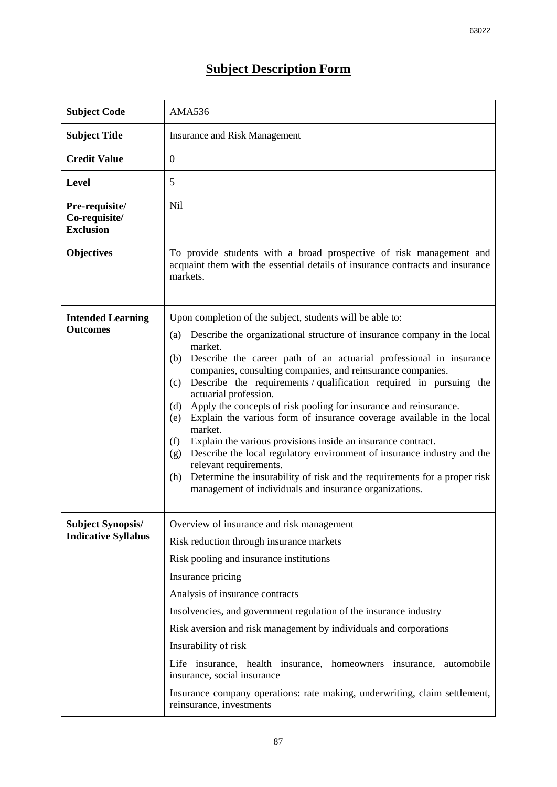## **Subject Description Form**

| <b>Subject Code</b>                                    | <b>AMA536</b>                                                                                                                                                                                                                                                                                                                                                                                                                                                                                                                                                                                                                                                                                                                                                                                                                                                                                                    |  |  |  |
|--------------------------------------------------------|------------------------------------------------------------------------------------------------------------------------------------------------------------------------------------------------------------------------------------------------------------------------------------------------------------------------------------------------------------------------------------------------------------------------------------------------------------------------------------------------------------------------------------------------------------------------------------------------------------------------------------------------------------------------------------------------------------------------------------------------------------------------------------------------------------------------------------------------------------------------------------------------------------------|--|--|--|
| <b>Subject Title</b>                                   | <b>Insurance and Risk Management</b>                                                                                                                                                                                                                                                                                                                                                                                                                                                                                                                                                                                                                                                                                                                                                                                                                                                                             |  |  |  |
| <b>Credit Value</b>                                    | $\mathbf{0}$                                                                                                                                                                                                                                                                                                                                                                                                                                                                                                                                                                                                                                                                                                                                                                                                                                                                                                     |  |  |  |
| <b>Level</b>                                           | 5                                                                                                                                                                                                                                                                                                                                                                                                                                                                                                                                                                                                                                                                                                                                                                                                                                                                                                                |  |  |  |
| Pre-requisite/<br>Co-requisite/<br><b>Exclusion</b>    | Nil                                                                                                                                                                                                                                                                                                                                                                                                                                                                                                                                                                                                                                                                                                                                                                                                                                                                                                              |  |  |  |
| <b>Objectives</b>                                      | To provide students with a broad prospective of risk management and<br>acquaint them with the essential details of insurance contracts and insurance<br>markets.                                                                                                                                                                                                                                                                                                                                                                                                                                                                                                                                                                                                                                                                                                                                                 |  |  |  |
| <b>Intended Learning</b><br><b>Outcomes</b>            | Upon completion of the subject, students will be able to:<br>Describe the organizational structure of insurance company in the local<br>(a)<br>market.<br>Describe the career path of an actuarial professional in insurance<br>(b)<br>companies, consulting companies, and reinsurance companies.<br>Describe the requirements / qualification required in pursuing the<br>(c)<br>actuarial profession.<br>Apply the concepts of risk pooling for insurance and reinsurance.<br>(d)<br>Explain the various form of insurance coverage available in the local<br>(e)<br>market.<br>Explain the various provisions inside an insurance contract.<br>(f)<br>Describe the local regulatory environment of insurance industry and the<br>(g)<br>relevant requirements.<br>Determine the insurability of risk and the requirements for a proper risk<br>(h)<br>management of individuals and insurance organizations. |  |  |  |
| <b>Subject Synopsis/</b><br><b>Indicative Syllabus</b> | Overview of insurance and risk management<br>Risk reduction through insurance markets<br>Risk pooling and insurance institutions<br>Insurance pricing<br>Analysis of insurance contracts<br>Insolvencies, and government regulation of the insurance industry<br>Risk aversion and risk management by individuals and corporations<br>Insurability of risk<br>Life insurance, health insurance, homeowners insurance,<br>automobile<br>insurance, social insurance<br>Insurance company operations: rate making, underwriting, claim settlement,<br>reinsurance, investments                                                                                                                                                                                                                                                                                                                                     |  |  |  |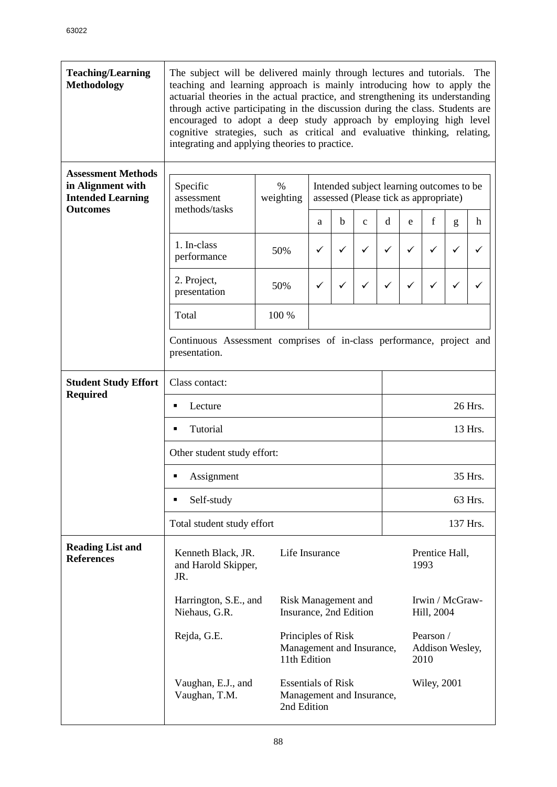| <b>Teaching/Learning</b><br><b>Methodology</b>                             | The subject will be delivered mainly through lectures and tutorials. The<br>teaching and learning approach is mainly introducing how to apply the<br>actuarial theories in the actual practice, and strengthening its understanding<br>through active participating in the discussion during the class. Students are<br>encouraged to adopt a deep study approach by employing high level<br>cognitive strategies, such as critical and evaluative thinking, relating,<br>integrating and applying theories to practice. |                   |                                                                                                                                                          |   |              |             |   |                               |   |             |  |  |  |
|----------------------------------------------------------------------------|--------------------------------------------------------------------------------------------------------------------------------------------------------------------------------------------------------------------------------------------------------------------------------------------------------------------------------------------------------------------------------------------------------------------------------------------------------------------------------------------------------------------------|-------------------|----------------------------------------------------------------------------------------------------------------------------------------------------------|---|--------------|-------------|---|-------------------------------|---|-------------|--|--|--|
| <b>Assessment Methods</b><br>in Alignment with<br><b>Intended Learning</b> | Specific<br>assessment<br>methods/tasks                                                                                                                                                                                                                                                                                                                                                                                                                                                                                  | $\%$<br>weighting | Intended subject learning outcomes to be<br>assessed (Please tick as appropriate)                                                                        |   |              |             |   |                               |   |             |  |  |  |
| <b>Outcomes</b>                                                            |                                                                                                                                                                                                                                                                                                                                                                                                                                                                                                                          |                   | a                                                                                                                                                        | b | $\mathbf{C}$ | $\mathbf d$ | e | f                             | g | $\mathbf h$ |  |  |  |
|                                                                            | 1. In-class<br>performance                                                                                                                                                                                                                                                                                                                                                                                                                                                                                               | 50%               | ✓                                                                                                                                                        | ✓ | ✓            | ✓           | ✓ | ✓                             | ✓ | ✓           |  |  |  |
|                                                                            | 2. Project,<br>presentation                                                                                                                                                                                                                                                                                                                                                                                                                                                                                              | 50%               | ✓                                                                                                                                                        | ✓ | ✓            | ✓           | ✓ | ✓                             | ✓ | ✓           |  |  |  |
|                                                                            | Total                                                                                                                                                                                                                                                                                                                                                                                                                                                                                                                    | 100 %             |                                                                                                                                                          |   |              |             |   |                               |   |             |  |  |  |
|                                                                            | Continuous Assessment comprises of in-class performance, project and<br>presentation.                                                                                                                                                                                                                                                                                                                                                                                                                                    |                   |                                                                                                                                                          |   |              |             |   |                               |   |             |  |  |  |
| <b>Student Study Effort</b>                                                | Class contact:                                                                                                                                                                                                                                                                                                                                                                                                                                                                                                           |                   |                                                                                                                                                          |   |              |             |   |                               |   |             |  |  |  |
| <b>Required</b>                                                            | Lecture                                                                                                                                                                                                                                                                                                                                                                                                                                                                                                                  |                   |                                                                                                                                                          |   |              |             |   | 26 Hrs.                       |   |             |  |  |  |
|                                                                            | Tutorial<br>13 Hrs.<br>Ξ<br>Other student study effort:                                                                                                                                                                                                                                                                                                                                                                                                                                                                  |                   |                                                                                                                                                          |   |              |             |   |                               |   |             |  |  |  |
|                                                                            |                                                                                                                                                                                                                                                                                                                                                                                                                                                                                                                          |                   |                                                                                                                                                          |   |              |             |   |                               |   |             |  |  |  |
|                                                                            | Assignment                                                                                                                                                                                                                                                                                                                                                                                                                                                                                                               |                   |                                                                                                                                                          |   |              |             |   | 35 Hrs.                       |   |             |  |  |  |
|                                                                            | Self-study<br>П                                                                                                                                                                                                                                                                                                                                                                                                                                                                                                          |                   | 63 Hrs.                                                                                                                                                  |   |              |             |   |                               |   |             |  |  |  |
|                                                                            | Total student study effort                                                                                                                                                                                                                                                                                                                                                                                                                                                                                               |                   |                                                                                                                                                          |   |              |             |   | 137 Hrs.                      |   |             |  |  |  |
| <b>Reading List and</b><br><b>References</b>                               | Kenneth Black, JR.<br>Life Insurance<br>Prentice Hall,<br>1993<br>and Harold Skipper,<br>JR.                                                                                                                                                                                                                                                                                                                                                                                                                             |                   |                                                                                                                                                          |   |              |             |   |                               |   |             |  |  |  |
|                                                                            | Harrington, S.E., and<br>Niehaus, G.R.                                                                                                                                                                                                                                                                                                                                                                                                                                                                                   |                   | Risk Management and<br>Insurance, 2nd Edition<br>Pearson /<br>Principles of Risk<br>Management and Insurance,<br>Addison Wesley,<br>11th Edition<br>2010 |   |              |             |   | Irwin / McGraw-<br>Hill, 2004 |   |             |  |  |  |
|                                                                            | Rejda, G.E.                                                                                                                                                                                                                                                                                                                                                                                                                                                                                                              |                   |                                                                                                                                                          |   |              |             |   |                               |   |             |  |  |  |
|                                                                            | <b>Essentials of Risk</b><br>Vaughan, E.J., and<br><b>Wiley, 2001</b><br>Management and Insurance,<br>Vaughan, T.M.<br>2nd Edition                                                                                                                                                                                                                                                                                                                                                                                       |                   |                                                                                                                                                          |   |              |             |   |                               |   |             |  |  |  |